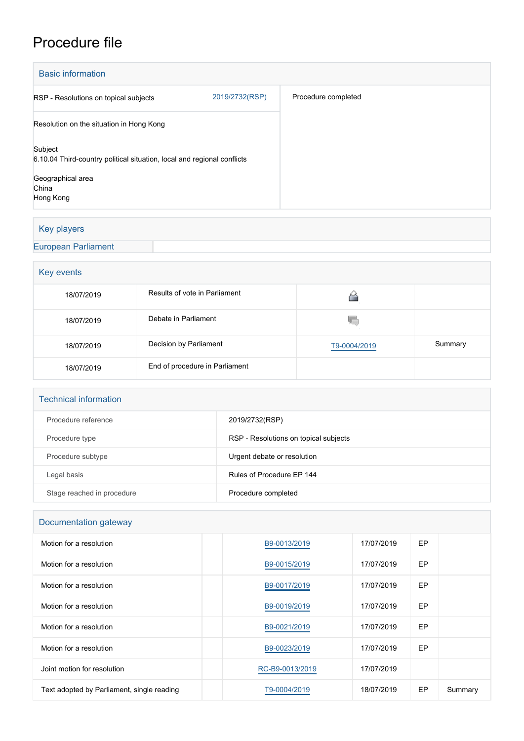# Procedure file

| <b>Basic information</b>                                                           |                |                     |  |  |  |
|------------------------------------------------------------------------------------|----------------|---------------------|--|--|--|
| RSP - Resolutions on topical subjects                                              | 2019/2732(RSP) | Procedure completed |  |  |  |
| Resolution on the situation in Hong Kong                                           |                |                     |  |  |  |
| Subject<br>6.10.04 Third-country political situation, local and regional conflicts |                |                     |  |  |  |
| Geographical area<br>China<br>Hong Kong                                            |                |                     |  |  |  |

# Key players

[European Parliament](http://www.europarl.europa.eu/)

# Key events

| 18/07/2019 | Results of vote in Parliament  |              |         |  |  |
|------------|--------------------------------|--------------|---------|--|--|
| 18/07/2019 | Debate in Parliament           | YΟ           |         |  |  |
| 18/07/2019 | Decision by Parliament         | T9-0004/2019 | Summary |  |  |
| 18/07/2019 | End of procedure in Parliament |              |         |  |  |

#### Technical information

| Procedure reference        | 2019/2732(RSP)                        |
|----------------------------|---------------------------------------|
| Procedure type             | RSP - Resolutions on topical subjects |
| Procedure subtype          | Urgent debate or resolution           |
| Legal basis                | Rules of Procedure EP 144             |
| Stage reached in procedure | Procedure completed                   |

# Documentation gateway

| Motion for a resolution                    | B9-0013/2019    | 17/07/2019 | EP |         |
|--------------------------------------------|-----------------|------------|----|---------|
| Motion for a resolution                    | B9-0015/2019    | 17/07/2019 | EP |         |
| Motion for a resolution                    | B9-0017/2019    | 17/07/2019 | EP |         |
| Motion for a resolution                    | B9-0019/2019    | 17/07/2019 | EP |         |
| Motion for a resolution                    | B9-0021/2019    | 17/07/2019 | EP |         |
| Motion for a resolution                    | B9-0023/2019    | 17/07/2019 | EP |         |
| Joint motion for resolution                | RC-B9-0013/2019 | 17/07/2019 |    |         |
| Text adopted by Parliament, single reading | T9-0004/2019    | 18/07/2019 | EP | Summary |